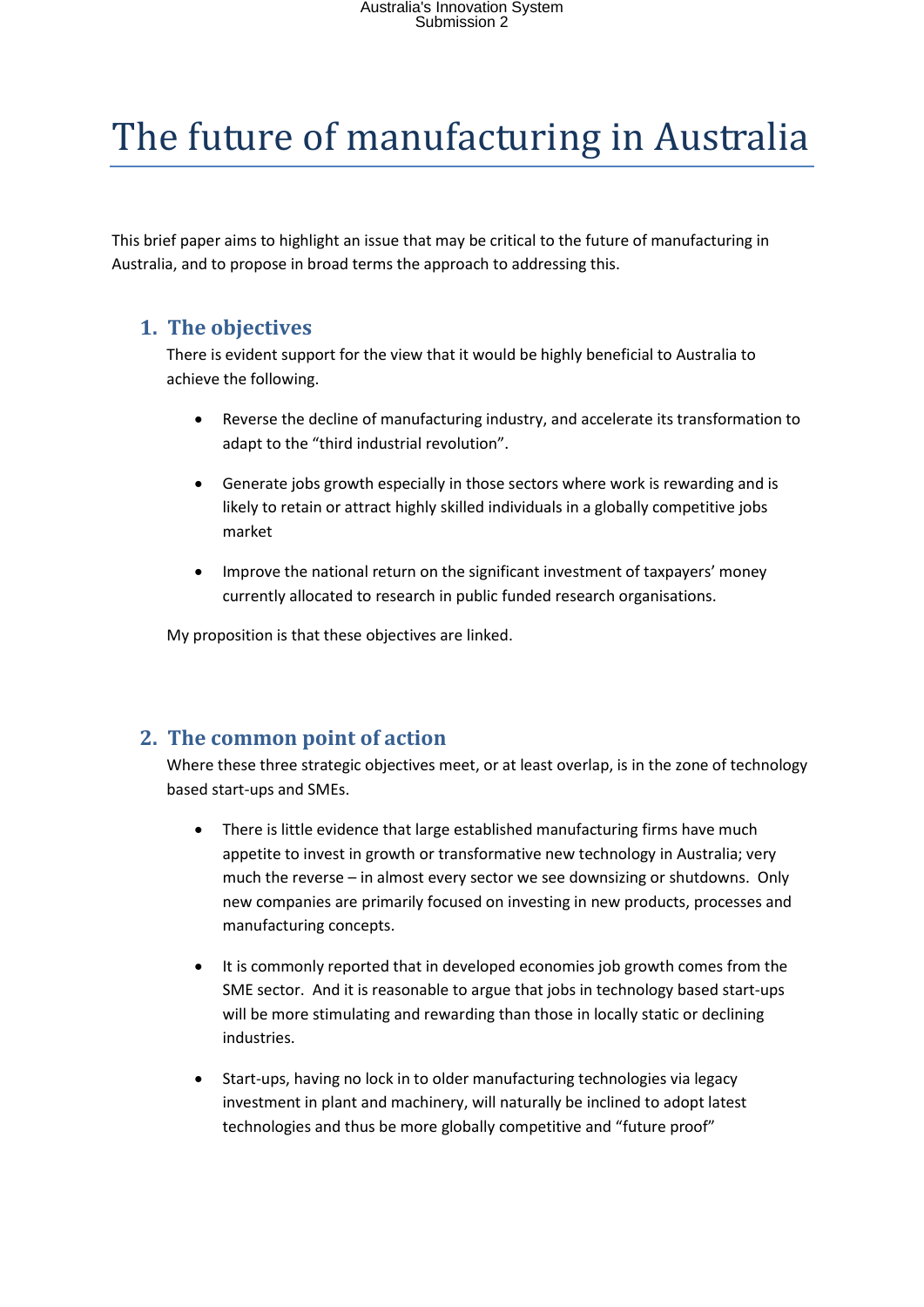# The future of manufacturing in Australia

This brief paper aims to highlight an issue that may be critical to the future of manufacturing in Australia, and to propose in broad terms the approach to addressing this.

#### **1. The objectives**

There is evident support for the view that it would be highly beneficial to Australia to achieve the following.

- Reverse the decline of manufacturing industry, and accelerate its transformation to adapt to the "third industrial revolution".
- Generate jobs growth especially in those sectors where work is rewarding and is likely to retain or attract highly skilled individuals in a globally competitive jobs market
- Improve the national return on the significant investment of taxpayers' money currently allocated to research in public funded research organisations.

My proposition is that these objectives are linked.

### **2. The common point of action**

Where these three strategic objectives meet, or at least overlap, is in the zone of technology based start-ups and SMEs.

- There is little evidence that large established manufacturing firms have much appetite to invest in growth or transformative new technology in Australia; very much the reverse – in almost every sector we see downsizing or shutdowns. Only new companies are primarily focused on investing in new products, processes and manufacturing concepts.
- It is commonly reported that in developed economies job growth comes from the SME sector. And it is reasonable to argue that jobs in technology based start-ups will be more stimulating and rewarding than those in locally static or declining industries.
- Start-ups, having no lock in to older manufacturing technologies via legacy investment in plant and machinery, will naturally be inclined to adopt latest technologies and thus be more globally competitive and "future proof"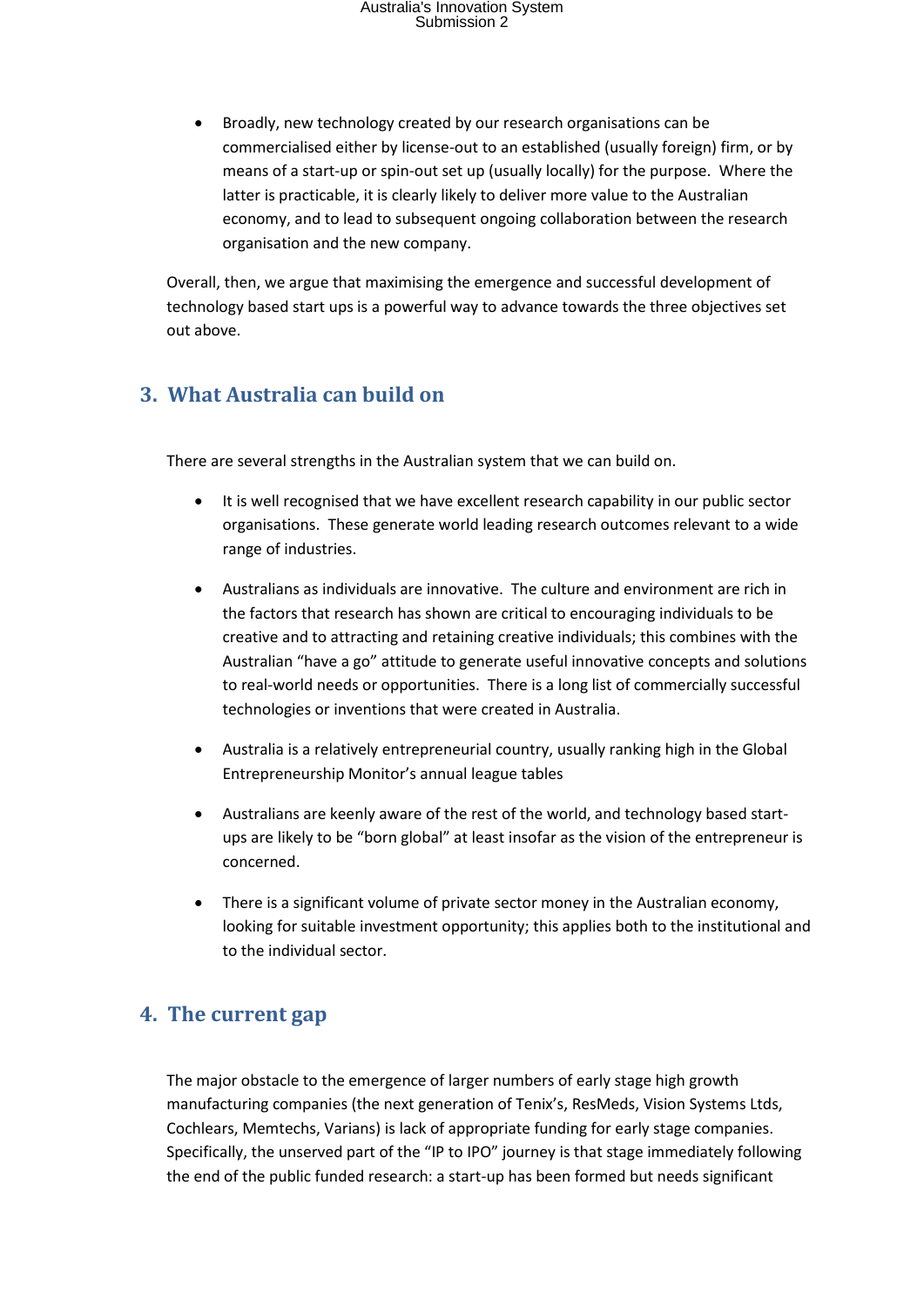## Australia's Innovation System Submission 2

 Broadly, new technology created by our research organisations can be commercialised either by license-out to an established (usually foreign) firm, or by means of a start-up or spin-out set up (usually locally) for the purpose. Where the latter is practicable, it is clearly likely to deliver more value to the Australian economy, and to lead to subsequent ongoing collaboration between the research organisation and the new company.

Overall, then, we argue that maximising the emergence and successful development of technology based start ups is a powerful way to advance towards the three objectives set out above.

### **3. What Australia can build on**

There are several strengths in the Australian system that we can build on.

- It is well recognised that we have excellent research capability in our public sector organisations. These generate world leading research outcomes relevant to a wide range of industries.
- Australians as individuals are innovative. The culture and environment are rich in the factors that research has shown are critical to encouraging individuals to be creative and to attracting and retaining creative individuals; this combines with the Australian "have a go" attitude to generate useful innovative concepts and solutions to real-world needs or opportunities. There is a long list of commercially successful technologies or inventions that were created in Australia.
- Australia is a relatively entrepreneurial country, usually ranking high in the Global Entrepreneurship Monitor's annual league tables
- Australians are keenly aware of the rest of the world, and technology based startups are likely to be "born global" at least insofar as the vision of the entrepreneur is concerned.
- There is a significant volume of private sector money in the Australian economy, looking for suitable investment opportunity; this applies both to the institutional and to the individual sector.

### **4. The current gap**

The major obstacle to the emergence of larger numbers of early stage high growth manufacturing companies (the next generation of Tenix's, ResMeds, Vision Systems Ltds, Cochlears, Memtechs, Varians) is lack of appropriate funding for early stage companies. Specifically, the unserved part of the "IP to IPO" journey is that stage immediately following the end of the public funded research: a start-up has been formed but needs significant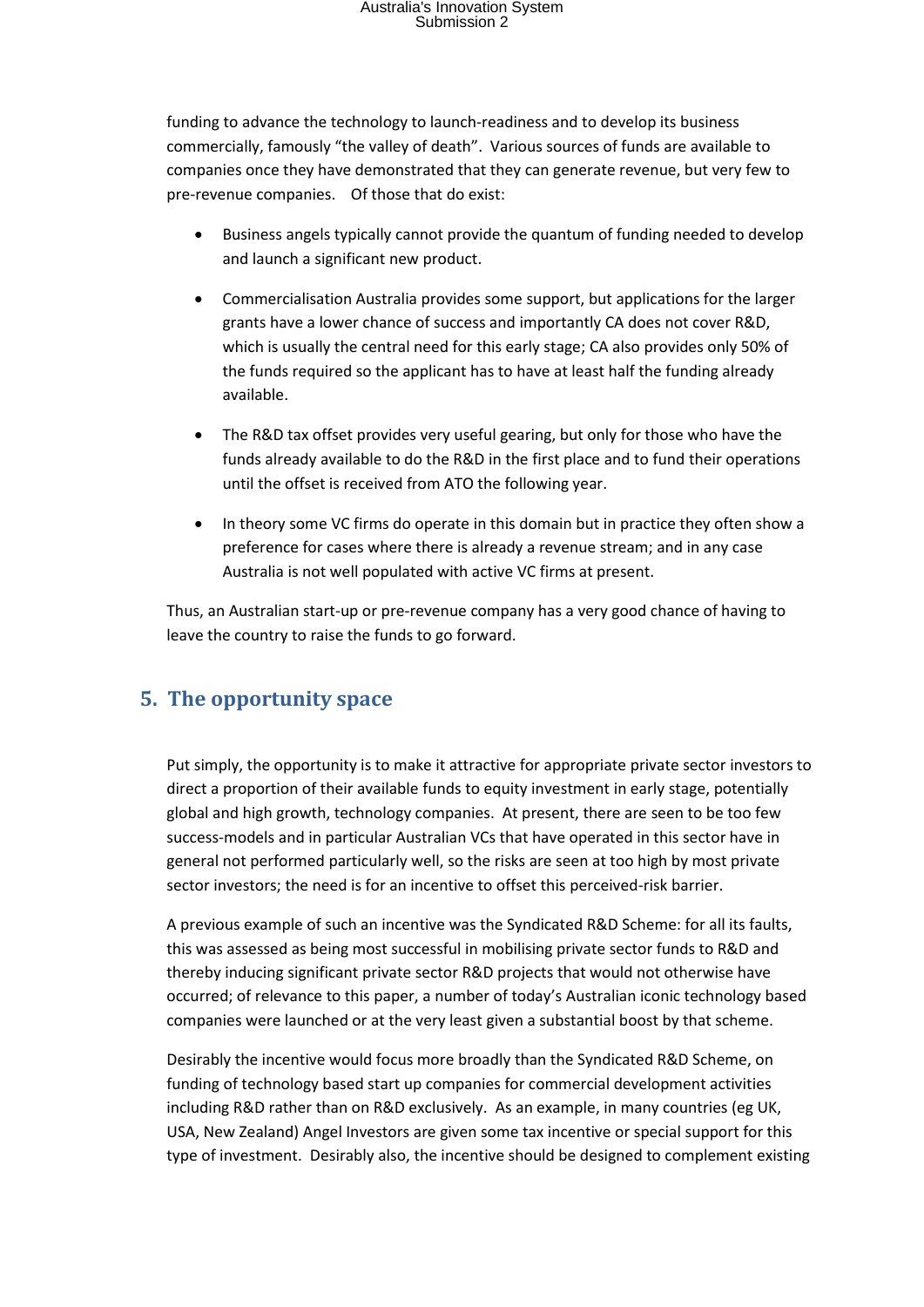# Australia's Innovation System Submission 2

funding to advance the technology to launch-readiness and to develop its business commercially, famously "the valley of death". Various sources of funds are available to companies once they have demonstrated that they can generate revenue, but very few to pre-revenue companies. Of those that do exist:

- Business angels typically cannot provide the quantum of funding needed to develop and launch a significant new product.
- Commercialisation Australia provides some support, but applications for the larger grants have a lower chance of success and importantly CA does not cover R&D, which is usually the central need for this early stage; CA also provides only 50% of the funds required so the applicant has to have at least half the funding already available.
- The R&D tax offset provides very useful gearing, but only for those who have the funds already available to do the R&D in the first place and to fund their operations until the offset is received from ATO the following year.
- In theory some VC firms do operate in this domain but in practice they often show a preference for cases where there is already a revenue stream; and in any case Australia is not well populated with active VC firms at present.

Thus, an Australian start-up or pre-revenue company has a very good chance of having to leave the country to raise the funds to go forward.

## **5. The opportunity space**

Put simply, the opportunity is to make it attractive for appropriate private sector investors to direct a proportion of their available funds to equity investment in early stage, potentially global and high growth, technology companies. At present, there are seen to be too few success-models and in particular Australian VCs that have operated in this sector have in general not performed particularly well, so the risks are seen at too high by most private sector investors; the need is for an incentive to offset this perceived-risk barrier.

A previous example of such an incentive was the Syndicated R&D Scheme: for all its faults, this was assessed as being most successful in mobilising private sector funds to R&D and thereby inducing significant private sector R&D projects that would not otherwise have occurred; of relevance to this paper, a number of today's Australian iconic technology based companies were launched or at the very least given a substantial boost by that scheme.

Desirably the incentive would focus more broadly than the Syndicated R&D Scheme, on funding of technology based start up companies for commercial development activities including R&D rather than on R&D exclusively. As an example, in many countries (eg UK, USA, New Zealand) Angel Investors are given some tax incentive or special support for this type of investment. Desirably also, the incentive should be designed to complement existing